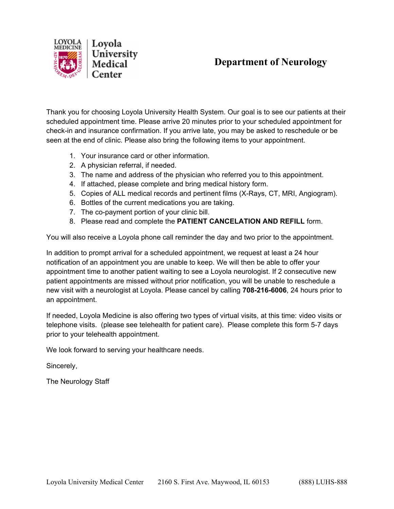

# **Department of Neurology**

Thank you for choosing Loyola University Health System. Our goal is to see our patients at their scheduled appointment time. Please arrive 20 minutes prior to your scheduled appointment for check-in and insurance confirmation. If you arrive late, you may be asked to reschedule or be seen at the end of clinic. Please also bring the following items to your appointment.

- 1. Your insurance card or other information.
- 2. A physician referral, if needed.
- 3. The name and address of the physician who referred you to this appointment.
- 4. If attached, please complete and bring medical history form.
- 5. Copies of ALL medical records and pertinent films (X-Rays, CT, MRI, Angiogram).
- 6. Bottles of the current medications you are taking.
- 7. The co-payment portion of your clinic bill.
- 8. Please read and complete the **PATIENT CANCELATION AND REFILL** form.

You will also receive a Loyola phone call reminder the day and two prior to the appointment.

In addition to prompt arrival for a scheduled appointment, we request at least a 24 hour notification of an appointment you are unable to keep. We will then be able to offer your appointment time to another patient waiting to see a Loyola neurologist. If 2 consecutive new patient appointments are missed without prior notification, you will be unable to reschedule a new visit with a neurologist at Loyola. Please cancel by calling **708-216-6006**, 24 hours prior to an appointment.

If needed, Loyola Medicine is also offering two types of virtual visits, at this time: video visits or telephone visits. (please see telehealth for patient care). Please complete this form 5-7 days prior to your telehealth appointment.

We look forward to serving your healthcare needs.

Sincerely,

The Neurology Staff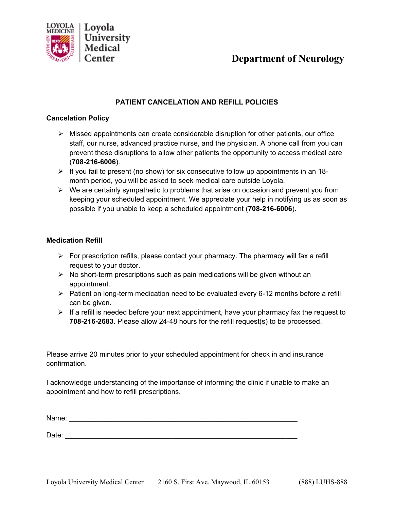

## **Department of Neurology**

#### **PATIENT CANCELATION AND REFILL POLICIES**

#### **Cancelation Policy**

- $\triangleright$  Missed appointments can create considerable disruption for other patients, our office staff, our nurse, advanced practice nurse, and the physician. A phone call from you can prevent these disruptions to allow other patients the opportunity to access medical care (**708-216-6006**).
- $\triangleright$  If you fail to present (no show) for six consecutive follow up appointments in an 18month period, you will be asked to seek medical care outside Loyola.
- $\triangleright$  We are certainly sympathetic to problems that arise on occasion and prevent you from keeping your scheduled appointment. We appreciate your help in notifying us as soon as possible if you unable to keep a scheduled appointment (**708-216-6006**).

#### **Medication Refill**

- $\triangleright$  For prescription refills, please contact your pharmacy. The pharmacy will fax a refill request to your doctor.
- $\triangleright$  No short-term prescriptions such as pain medications will be given without an appointment.
- $\triangleright$  Patient on long-term medication need to be evaluated every 6-12 months before a refill can be given.
- $\triangleright$  If a refill is needed before your next appointment, have your pharmacy fax the request to **708-216-2683**. Please allow 24-48 hours for the refill request(s) to be processed.

Please arrive 20 minutes prior to your scheduled appointment for check in and insurance confirmation.

I acknowledge understanding of the importance of informing the clinic if unable to make an appointment and how to refill prescriptions.

Name: \_\_\_\_\_\_\_\_\_\_\_\_\_\_\_\_\_\_\_\_\_\_\_\_\_\_\_\_\_\_\_\_\_\_\_\_\_\_\_\_\_\_\_\_\_\_\_\_\_\_\_\_\_\_\_\_\_\_

Date: \_\_\_\_\_\_\_\_\_\_\_\_\_\_\_\_\_\_\_\_\_\_\_\_\_\_\_\_\_\_\_\_\_\_\_\_\_\_\_\_\_\_\_\_\_\_\_\_\_\_\_\_\_\_\_\_\_\_\_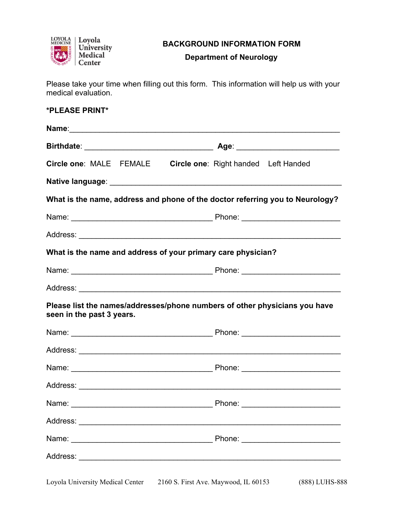

## **BACKGROUND INFORMATION FORM**

## **Department of Neurology**

Please take your time when filling out this form. This information will help us with your medical evaluation.

### **\*PLEASE PRINT\***

|                                                              | Circle one: MALE FEMALE Circle one: Right handed Left Handed                  |
|--------------------------------------------------------------|-------------------------------------------------------------------------------|
|                                                              |                                                                               |
|                                                              | What is the name, address and phone of the doctor referring you to Neurology? |
|                                                              |                                                                               |
|                                                              |                                                                               |
| What is the name and address of your primary care physician? |                                                                               |
|                                                              |                                                                               |
|                                                              |                                                                               |
| seen in the past 3 years.                                    | Please list the names/addresses/phone numbers of other physicians you have    |
|                                                              |                                                                               |
|                                                              |                                                                               |
|                                                              |                                                                               |
|                                                              |                                                                               |
|                                                              |                                                                               |
|                                                              |                                                                               |
|                                                              |                                                                               |
|                                                              |                                                                               |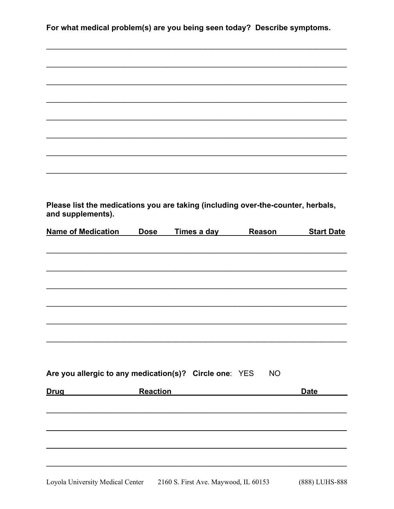| For what medical problem(s) are you being seen today? Describe symptoms. |
|--------------------------------------------------------------------------|
|--------------------------------------------------------------------------|

| Please list the medications you are taking (including over-the-counter, herbals,<br>and supplements). |             |             |                                                    |                   |
|-------------------------------------------------------------------------------------------------------|-------------|-------------|----------------------------------------------------|-------------------|
| <b>Name of Medication</b>                                                                             | <b>Dose</b> | Times a day | <b>Reason</b>                                      | <b>Start Date</b> |
|                                                                                                       |             |             |                                                    |                   |
|                                                                                                       |             |             |                                                    |                   |
|                                                                                                       |             |             |                                                    |                   |
|                                                                                                       |             |             |                                                    |                   |
| Are you allergic to any medication(s)? Circle one: YES NO                                             |             |             |                                                    |                   |
| <b>Reaction</b><br><b>Drug</b>                                                                        |             |             | <u> 1989 - John Stein, Amerikaansk politiker (</u> | <b>Date</b>       |
|                                                                                                       |             |             |                                                    |                   |
|                                                                                                       |             |             |                                                    |                   |
|                                                                                                       |             |             |                                                    |                   |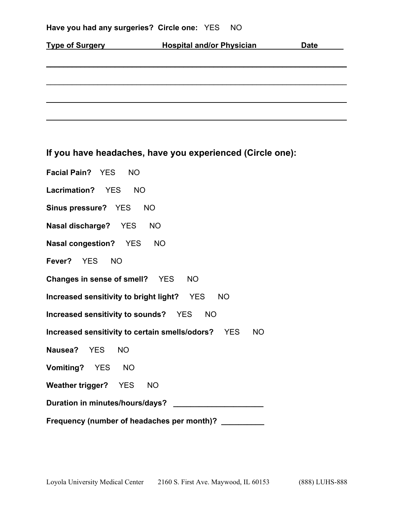|  |  | Have you had any surgeries? Circle one: YES NO |  |  |  |
|--|--|------------------------------------------------|--|--|--|
|--|--|------------------------------------------------|--|--|--|

| <b>Hospital and/or Physician</b> | <b>Date</b> |
|----------------------------------|-------------|
|                                  |             |
|                                  |             |
|                                  |             |
|                                  |             |
|                                  |             |
|                                  |             |

**If you have headaches, have you experienced (Circle one):** 

| Facial Pain? YES NO                                             |  |  |  |  |  |  |
|-----------------------------------------------------------------|--|--|--|--|--|--|
| Lacrimation? YES NO                                             |  |  |  |  |  |  |
| Sinus pressure? YES NO                                          |  |  |  |  |  |  |
| Nasal discharge? YES NO                                         |  |  |  |  |  |  |
| Nasal congestion? YES NO                                        |  |  |  |  |  |  |
| Fever? YES NO                                                   |  |  |  |  |  |  |
| Changes in sense of smell? YES NO                               |  |  |  |  |  |  |
| Increased sensitivity to bright light? YES NO                   |  |  |  |  |  |  |
| Increased sensitivity to sounds? YES NO                         |  |  |  |  |  |  |
| Increased sensitivity to certain smells/odors? YES<br><b>NO</b> |  |  |  |  |  |  |
| Nausea? YES NO                                                  |  |  |  |  |  |  |
| Vomiting? YES NO                                                |  |  |  |  |  |  |
| Weather trigger? YES NO                                         |  |  |  |  |  |  |
|                                                                 |  |  |  |  |  |  |
| Frequency (number of headaches per month)? _________            |  |  |  |  |  |  |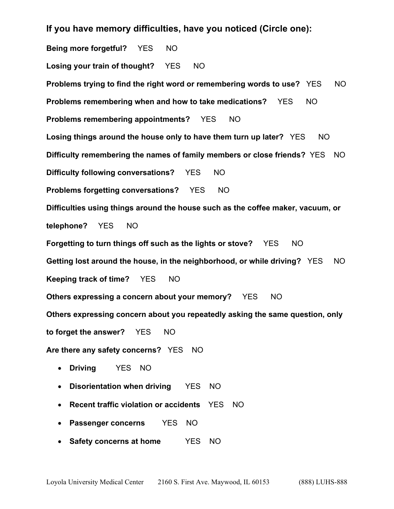**If you have memory difficulties, have you noticed (Circle one):** 

**Being more forgetful?** YES NO **Losing your train of thought?** YES NO **Problems trying to find the right word or remembering words to use?** YES NO **Problems remembering when and how to take medications?** YES NO **Problems remembering appointments?** YES NO **Losing things around the house only to have them turn up later?** YES NO **Difficulty remembering the names of family members or close friends?** YES NO **Difficulty following conversations?** YES NO **Problems forgetting conversations?** YES NO **Difficulties using things around the house such as the coffee maker, vacuum, or telephone?** YES NO **Forgetting to turn things off such as the lights or stove?** YES NO **Getting lost around the house, in the neighborhood, or while driving?** YES NO **Keeping track of time?** YES NO **Others expressing a concern about your memory?** YES NO **Others expressing concern about you repeatedly asking the same question, only to forget the answer?** YES NO **Are there any safety concerns?** YES NO **Driving** YES NO **Disorientation when driving** YES NO **Recent traffic violation or accidents** YES NO

- **Passenger concerns** YES NO
- **Safety concerns at home** YES NO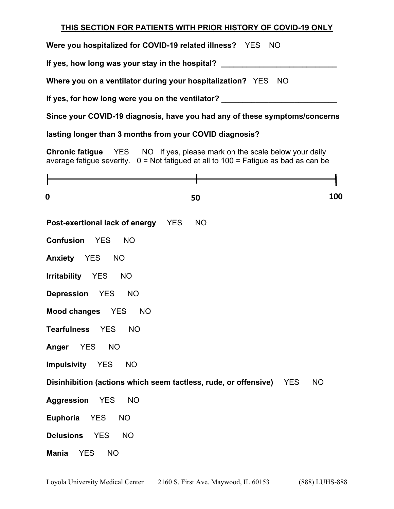#### **THIS SECTION FOR PATIENTS WITH PRIOR HISTORY OF COVID-19 ONLY**

**Were you hospitalized for COVID-19 related illness?** YES NO **If yes, how long was your stay in the hospital? \_\_\_\_\_\_\_\_\_\_\_\_\_\_\_\_\_\_\_\_\_\_\_\_\_\_\_ Where you on a ventilator during your hospitalization?** YES NO If yes, for how long were you on the ventilator? **Letter Letter Section** 2 **Since your COVID-19 diagnosis, have you had any of these symptoms/concerns lasting longer than 3 months from your COVID diagnosis? Chronic fatigue** YES NO If yes, please mark on the scale below your daily average fatigue severity.  $0 = Not$  fatigued at all to  $100 =$  Fatigue as bad as can be **Post-exertional lack of energy** YES NO **Confusion** YES NO **Anxiety** YES NO **Irritability** YES NO **Depression** YES NO **Mood changes** YES NO **Tearfulness** YES NO **Anger** YES NO **Impulsivity** YES NO **Disinhibition (actions which seem tactless, rude, or offensive)** YES NO **Aggression** YES NO **Euphoria** YES NO **Delusions** YES NO **Mania** YES NO **0 50 100**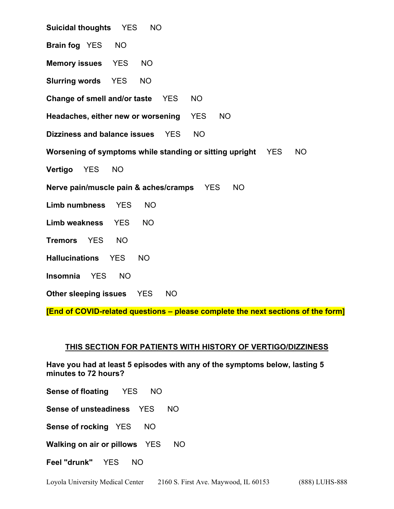**Suicidal thoughts** YES NO **Brain fog** YES NO **Memory issues** YES NO **Slurring words** YES NO **Change of smell and/or taste** YES NO **Headaches, either new or worsening** YES NO **Dizziness and balance issues** YES NO **Worsening of symptoms while standing or sitting upright** YES NO **Vertigo** YES NO **Nerve pain/muscle pain & aches/cramps** YES NO **Limb numbness** YES NO **Limb weakness** YES NO **Tremors** YES NO **Hallucinations** YES NO **Insomnia** YES NO **Other sleeping issues** YES NO

**[End of COVID-related questions – please complete the next sections of the form]** 

#### **THIS SECTION FOR PATIENTS WITH HISTORY OF VERTIGO/DIZZINESS**

**Have you had at least 5 episodes with any of the symptoms below, lasting 5 minutes to 72 hours?** 

**Sense of floating** YES NO

**Sense of unsteadiness** YES NO

**Sense of rocking** YES NO

**Walking on air or pillows** YES NO

**Feel "drunk"** YES NO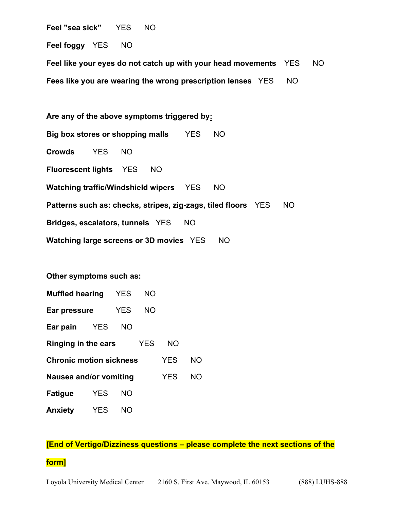**Feel "sea sick"** YES NO

**Feel foggy** YES NO

**Feel like your eyes do not catch up with your head movements** YES NO **Fees like you are wearing the wrong prescription lenses** YES NO

**Are any of the above symptoms triggered by: Big box stores or shopping malls** YES NO **Crowds** YES NO **Fluorescent lights** YES NO **Watching traffic/Windshield wipers** YES NO **Patterns such as: checks, stripes, zig-zags, tiled floors** YES NO **Bridges, escalators, tunnels** YES NO **Watching large screens or 3D movies** YES NO

**Other symptoms such as:** 

| <b>Muffled hearing</b>         | <b>YES</b> | NO         |     |            |           |
|--------------------------------|------------|------------|-----|------------|-----------|
| Ear pressure                   | <b>YES</b> | NO.        |     |            |           |
| Ear pain                       | <b>YES</b> | NΟ         |     |            |           |
| Ringing in the ears            |            | <b>YES</b> | NO. |            |           |
| <b>Chronic motion sickness</b> |            |            |     | <b>YES</b> | <b>NO</b> |
| Nausea and/or vomiting         |            |            |     | <b>YES</b> | <b>NO</b> |
| <b>Fatigue</b>                 | <b>YES</b> | <b>NO</b>  |     |            |           |
| <b>Anxiety</b>                 | <b>YES</b> | NΟ         |     |            |           |

#### **[End of Vertigo/Dizziness questions – please complete the next sections of the**

#### **form]**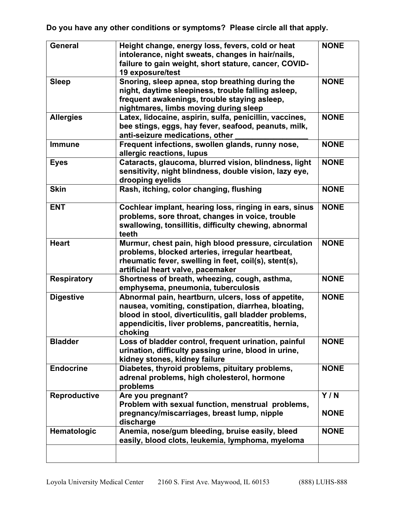**Do you have any other conditions or symptoms? Please circle all that apply.** 

| <b>General</b>     | Height change, energy loss, fevers, cold or heat        | <b>NONE</b> |
|--------------------|---------------------------------------------------------|-------------|
|                    | intolerance, night sweats, changes in hair/nails,       |             |
|                    | failure to gain weight, short stature, cancer, COVID-   |             |
|                    | 19 exposure/test                                        |             |
| <b>Sleep</b>       | Snoring, sleep apnea, stop breathing during the         | <b>NONE</b> |
|                    | night, daytime sleepiness, trouble falling asleep,      |             |
|                    | frequent awakenings, trouble staying asleep,            |             |
|                    | nightmares, limbs moving during sleep                   |             |
| <b>Allergies</b>   | Latex, lidocaine, aspirin, sulfa, penicillin, vaccines, | <b>NONE</b> |
|                    | bee stings, eggs, hay fever, seafood, peanuts, milk,    |             |
|                    | anti-seizure medications, other                         |             |
| <b>Immune</b>      | Frequent infections, swollen glands, runny nose,        | <b>NONE</b> |
|                    | allergic reactions, lupus                               |             |
| <b>Eyes</b>        | Cataracts, glaucoma, blurred vision, blindness, light   | <b>NONE</b> |
|                    | sensitivity, night blindness, double vision, lazy eye,  |             |
|                    | drooping eyelids                                        |             |
| <b>Skin</b>        | Rash, itching, color changing, flushing                 | <b>NONE</b> |
|                    |                                                         |             |
| <b>ENT</b>         | Cochlear implant, hearing loss, ringing in ears, sinus  | <b>NONE</b> |
|                    | problems, sore throat, changes in voice, trouble        |             |
|                    | swallowing, tonsillitis, difficulty chewing, abnormal   |             |
|                    | teeth                                                   |             |
| <b>Heart</b>       | Murmur, chest pain, high blood pressure, circulation    | <b>NONE</b> |
|                    | problems, blocked arteries, irregular heartbeat,        |             |
|                    | rheumatic fever, swelling in feet, coil(s), stent(s),   |             |
|                    | artificial heart valve, pacemaker                       |             |
| <b>Respiratory</b> | Shortness of breath, wheezing, cough, asthma,           | <b>NONE</b> |
|                    | emphysema, pneumonia, tuberculosis                      |             |
| <b>Digestive</b>   | Abnormal pain, heartburn, ulcers, loss of appetite,     | <b>NONE</b> |
|                    | nausea, vomiting, constipation, diarrhea, bloating,     |             |
|                    | blood in stool, diverticulitis, gall bladder problems,  |             |
|                    | appendicitis, liver problems, pancreatitis, hernia,     |             |
|                    | choking                                                 |             |
| <b>Bladder</b>     | Loss of bladder control, frequent urination, painful    | <b>NONE</b> |
|                    | urination, difficulty passing urine, blood in urine,    |             |
|                    | kidney stones, kidney failure                           |             |
| <b>Endocrine</b>   | Diabetes, thyroid problems, pituitary problems,         | <b>NONE</b> |
|                    | adrenal problems, high cholesterol, hormone             |             |
|                    | problems                                                |             |
| Reproductive       | Are you pregnant?                                       | Y/N         |
|                    | Problem with sexual function, menstrual problems,       |             |
|                    | pregnancy/miscarriages, breast lump, nipple             | <b>NONE</b> |
|                    | discharge                                               |             |
| Hematologic        | Anemia, nose/gum bleeding, bruise easily, bleed         | <b>NONE</b> |
|                    | easily, blood clots, leukemia, lymphoma, myeloma        |             |
|                    |                                                         |             |
|                    |                                                         |             |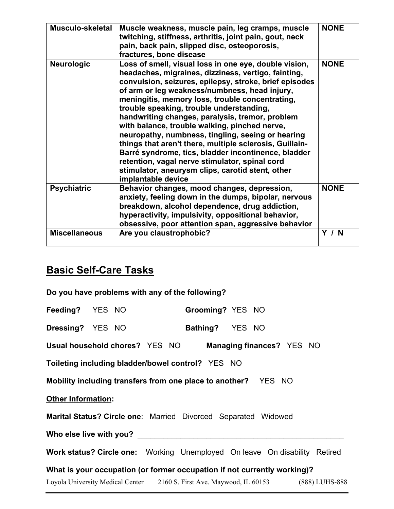| Musculo-skeletal     | Muscle weakness, muscle pain, leg cramps, muscle<br>twitching, stiffness, arthritis, joint pain, gout, neck<br>pain, back pain, slipped disc, osteoporosis,<br>fractures, bone disease                                                                                                                                                                                                                                                                                                                                                                                                                                                                                                                                        | <b>NONE</b> |
|----------------------|-------------------------------------------------------------------------------------------------------------------------------------------------------------------------------------------------------------------------------------------------------------------------------------------------------------------------------------------------------------------------------------------------------------------------------------------------------------------------------------------------------------------------------------------------------------------------------------------------------------------------------------------------------------------------------------------------------------------------------|-------------|
| <b>Neurologic</b>    | Loss of smell, visual loss in one eye, double vision,<br>headaches, migraines, dizziness, vertigo, fainting,<br>convulsion, seizures, epilepsy, stroke, brief episodes<br>of arm or leg weakness/numbness, head injury,<br>meningitis, memory loss, trouble concentrating,<br>trouble speaking, trouble understanding,<br>handwriting changes, paralysis, tremor, problem<br>with balance, trouble walking, pinched nerve,<br>neuropathy, numbness, tingling, seeing or hearing<br>things that aren't there, multiple sclerosis, Guillain-<br>Barré syndrome, tics, bladder incontinence, bladder<br>retention, vagal nerve stimulator, spinal cord<br>stimulator, aneurysm clips, carotid stent, other<br>implantable device | <b>NONE</b> |
| <b>Psychiatric</b>   | Behavior changes, mood changes, depression,<br>anxiety, feeling down in the dumps, bipolar, nervous<br>breakdown, alcohol dependence, drug addiction,<br>hyperactivity, impulsivity, oppositional behavior,<br>obsessive, poor attention span, aggressive behavior                                                                                                                                                                                                                                                                                                                                                                                                                                                            | <b>NONE</b> |
| <b>Miscellaneous</b> | Are you claustrophobic?                                                                                                                                                                                                                                                                                                                                                                                                                                                                                                                                                                                                                                                                                                       | Y / N       |

# **Basic Self-Care Tasks**

| Do you have problems with any of the following?                                   |  |  |                  |  |  |                           |                |
|-----------------------------------------------------------------------------------|--|--|------------------|--|--|---------------------------|----------------|
| Feeding? YES NO                                                                   |  |  | Grooming? YES NO |  |  |                           |                |
| <b>Dressing?</b> YES NO                                                           |  |  | Bathing? YES NO  |  |  |                           |                |
| Usual household chores? YES NO                                                    |  |  |                  |  |  | Managing finances? YES NO |                |
| Toileting including bladder/bowel control? YES NO                                 |  |  |                  |  |  |                           |                |
| Mobility including transfers from one place to another? YES NO                    |  |  |                  |  |  |                           |                |
| <b>Other Information:</b>                                                         |  |  |                  |  |  |                           |                |
| Marital Status? Circle one: Married Divorced Separated Widowed                    |  |  |                  |  |  |                           |                |
|                                                                                   |  |  |                  |  |  |                           |                |
| <b>Work status? Circle one:</b> Working Unemployed On leave On disability Retired |  |  |                  |  |  |                           |                |
| What is your occupation (or former occupation if not currently working)?          |  |  |                  |  |  |                           |                |
| Loyola University Medical Center 2160 S. First Ave. Maywood, IL 60153             |  |  |                  |  |  |                           | (888) LUHS-888 |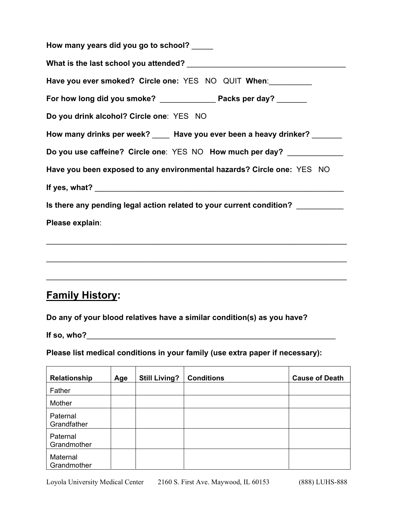| How many years did you go to school?                                   |
|------------------------------------------------------------------------|
|                                                                        |
| Have you ever smoked? Circle one: YES NO QUIT When:                    |
| For how long did you smoke? _________________ Packs per day? _______   |
| Do you drink alcohol? Circle one: YES NO                               |
| How many drinks per week? ____ Have you ever been a heavy drinker?     |
| Do you use caffeine? Circle one: YES NO How much per day?              |
| Have you been exposed to any environmental hazards? Circle one: YES NO |
|                                                                        |
| Is there any pending legal action related to your current condition?   |
| Please explain:                                                        |
|                                                                        |
|                                                                        |
|                                                                        |

# **Family History:**

**Do any of your blood relatives have a similar condition(s) as you have?** 

If so, who?  $\blacksquare$ 

**Please list medical conditions in your family (use extra paper if necessary):** 

| Relationship            | Age | <b>Still Living?</b> | <b>Conditions</b> | <b>Cause of Death</b> |
|-------------------------|-----|----------------------|-------------------|-----------------------|
| Father                  |     |                      |                   |                       |
| Mother                  |     |                      |                   |                       |
| Paternal<br>Grandfather |     |                      |                   |                       |
| Paternal<br>Grandmother |     |                      |                   |                       |
| Maternal<br>Grandmother |     |                      |                   |                       |